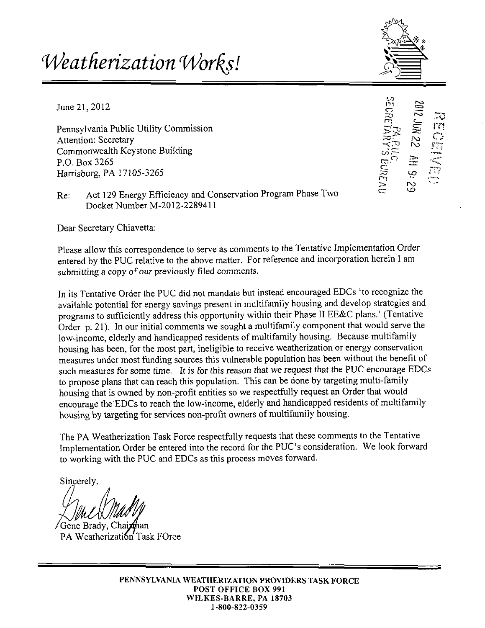# *Weatherization Wor^s!*

 $\mathbf{r}_t$ 

**».-> m o TO m** 

 $\boldsymbol{\omega}$  . **c:** 

**rn > c:** 

June 21, 2012

Pennsylvania Public Utility Commission Attention: Secretary Commonwealth Keystone Building P.O. Box 3265 Harrisburg, PA 17105-3265

Re: Act 129 Energy Efficiency and Conservation Program Phase Two Docket Number M-2012-2289411

Dear Secretary Chiavetta:

Please allow this correspondence to serve as comments to the Tentative Implementation Order entered by the PUC relative to the above matter. For reference and incorporation herein I am submitting a copy of our previously filed comments.

In its Tentative Order the PUC did not mandate but instead encouraged EDCs 'to recognize the available potential for energy savings present in multifamily housing and develop strategies and programs to sufficiently address this opportunity within their Phase 11 EE&C plans.' (Tentative Order p. 21). In our initial comments we sought a multifamily component that would serve the low-income, elderly and handicapped residents of multifamily housing. Because multifamily housing has been, for the most part, ineligible to receive weatherization or energy conservation measures under most funding sources this vulnerable population has been without the benefit of such measures for some time. It is for this reason that we request that the PUC encourage EDCs to propose plans that can reach this population. This can be done by targeting multi-family housing that is owned by non-profit entities so we respectfully request an Order that would encourage the EDCs to reach the low-income, elderly and handicapped residents of multifamily housing by targeting for services non-profit owners of multifamily housing.

The PA Weatherization Task Force respectfully requests that these comments to the Tentative Implementation Order be entered into the record for the PUC's consideration. We look forward to working with the PUC and EDCs as this process moves forward.

Sincerely,

Gene Brady, Cha PA Weatherization Task FOrce

PENNSYLVANIA WEATHERIZATION PROVIDERS TASK FORCE POST OFFICE BOX 991 WILKES-BARRE, PA 18703 1-800-822-0359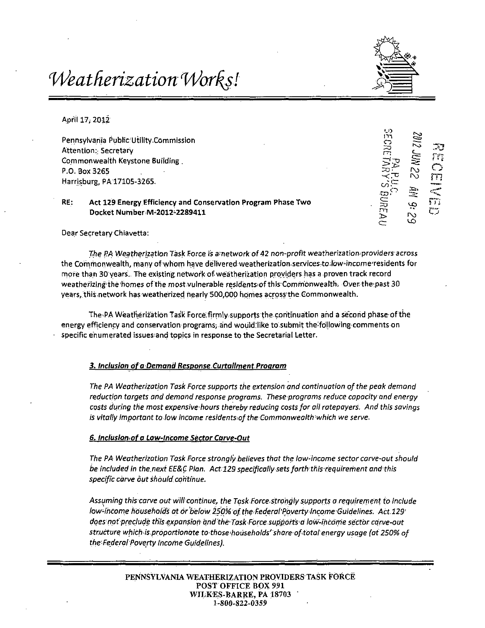## Weatherization Works!



'-O m o

> g no

لى ان<sub>مى</sub>

 $\mathbb{C}$ m

 $\frac{c_{\text{max}}}{\sum_{j}}$ 

.1=:,

به<br>م

> c :

April 17, 2012

Pennsylvania Public:Utility.Commission Attention:; Secretary Commonwealth Keystone Building. P.O. Box 3265 Harrisburg, PA 17105-3265.

#### RE: Act 129 Energy Efficiency and Conservation Program Phase Two Docket Number M-2012-2289411

Dear Secretary Chiavetta:

The PA Weatherization Task Force is ametwork of 42 non-profit weatherization^providers across the Commonwealth, many of whom have delivered weatherization.services.to.low-income residents for mofe than 30 years., The existing network of weatherization providers has a proven track record weatherizing the homes of the most vulnerable residents of this Commonwealth. Over the past 30 years, this network has weatherized nearly 500,000 homes across the Commonwealth.

The .PA Weatherization Task Force,firnnly,supports the continuation and a second phase of the energy efficiency and conservation programs; and would:like to submit the following comments on specific enumerated issues;and topics in response to the Secretarial Letter.

#### **3. Inclusion of a Demand Response Curtailment Program**

The PA Weatherization Task Force supports the extension and continuation of the peak demand reduction targets and demand response programs. These programs reduce capacity and energy costs during the most expensive hours thereby reducing costs for all ratepayers. And this savings is vitally important to low income residents of the Commonwealth which we serve.

#### **6. inclusion of a Low-Income Sector Carve-Out**

The PA Weatherization Task Force strongly believes that the low-income sector carve-out should be included in the. next EE&C Plan. Act129 specifically sets forth this requirement and this specific carve out should continue.

Assuming this carve out will continue, the Task Force strongly supports a requirement to include low-income households at or below 250% of the Federal Poverty Income Guidelines. Act 129' does not preclude this expansion and the Task Force supports a low-income sector carve-out structure which-is,proportionate to those'households'share ofitotal energy usage (at 250% of the Federal Poverty Income Guidelines).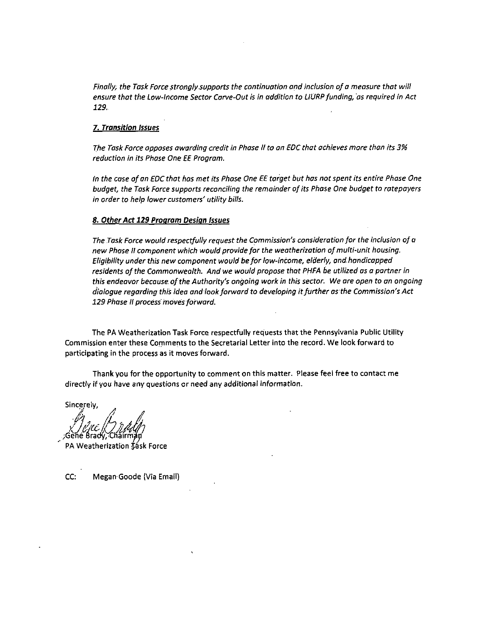Finally, the Task Force strongly,supports the continuation and inclusion of a measure that will ensure that the Low-Income Sector Carve-Out is in addition to LIURP funding, as required in Act 129.

#### 7. Transition Issues

The Task Force opposes awarding credit in Phase II to an EDC that achieves more than its 3% reduction in its Phase One EE Program.

in the case of an EDC that has met its Phase One EE target but has not spent its entire Phase One budget, the Task Force supports reconciling the remainder of its Phase One budget to ratepayers in order to help lower customers' utility bills.

#### 8. Other Act 129 Program Design Issues

The Task Force would respectfully request the Commission's consideration for the inclusion of a new Phase It component which would provide for the weatherization of multi-unit housing. Eligibility under this new component would be for low-income, elderly, and handicapped residents of the Commonwealth. And we would propose that PHFA be utilized as a partner in this endeavor because, of the Authority's ongoing work in this sector. We are open to an ongoing dialogue regarding this idea and look forward to developing it further as the Commission's Act 129 Phase II process moves forward.

The PA Weatherization Task Force respectfully requests that the Pennsylvania Public Utility Commission enter these Comments to the Secretarial Letter into the record. We look forward to participating in the process as it moves forward.

Thank you for the opportunity to comment on this matter. Please feel free to contact me directly if you have any questions or need any additional information.

Sincerely,

Geñe Brady

PA Weatherization task Force

CC: Megan Goode (Via Email)